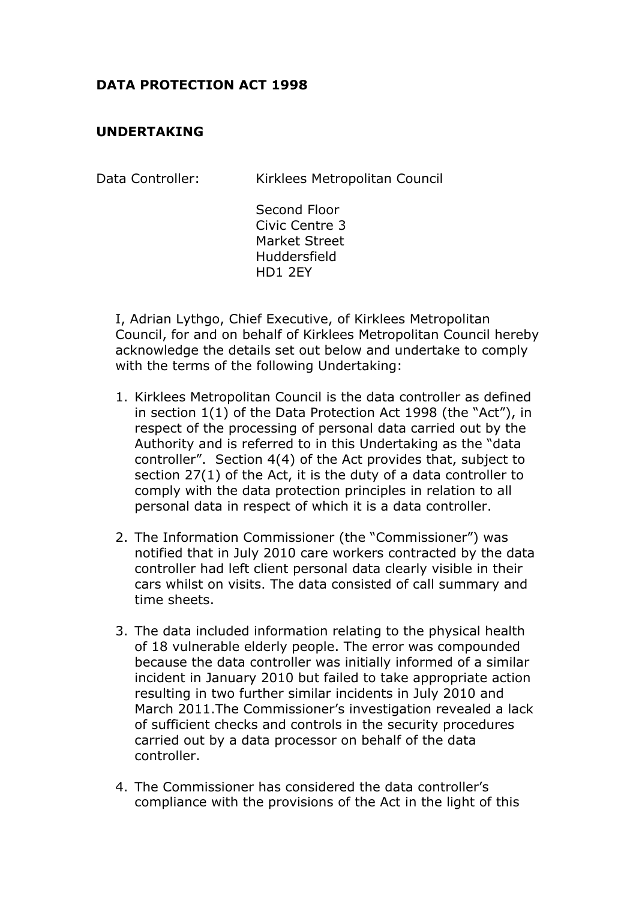## **DATA PROTECTION ACT 1998**

## **UNDERTAKING**

| Data Controller: |  | Kirklees Metropolitan Council |  |
|------------------|--|-------------------------------|--|
|                  |  |                               |  |

Second Floor Civic Centre 3 Market Street Huddersfield HD1 2EY

I, Adrian Lythgo, Chief Executive, of Kirklees Metropolitan Council, for and on behalf of Kirklees Metropolitan Council hereby acknowledge the details set out below and undertake to comply with the terms of the following Undertaking:

- 1. Kirklees Metropolitan Council is the data controller as defined in section 1(1) of the Data Protection Act 1998 (the "Act"), in respect of the processing of personal data carried out by the Authority and is referred to in this Undertaking as the "data controller". Section 4(4) of the Act provides that, subject to section 27(1) of the Act, it is the duty of a data controller to comply with the data protection principles in relation to all personal data in respect of which it is a data controller.
- 2. The Information Commissioner (the "Commissioner") was notified that in July 2010 care workers contracted by the data controller had left client personal data clearly visible in their cars whilst on visits. The data consisted of call summary and time sheets.
- 3. The data included information relating to the physical health of 18 vulnerable elderly people. The error was compounded because the data controller was initially informed of a similar incident in January 2010 but failed to take appropriate action resulting in two further similar incidents in July 2010 and March 2011.The Commissioner's investigation revealed a lack of sufficient checks and controls in the security procedures carried out by a data processor on behalf of the data controller.
- 4. The Commissioner has considered the data controller's compliance with the provisions of the Act in the light of this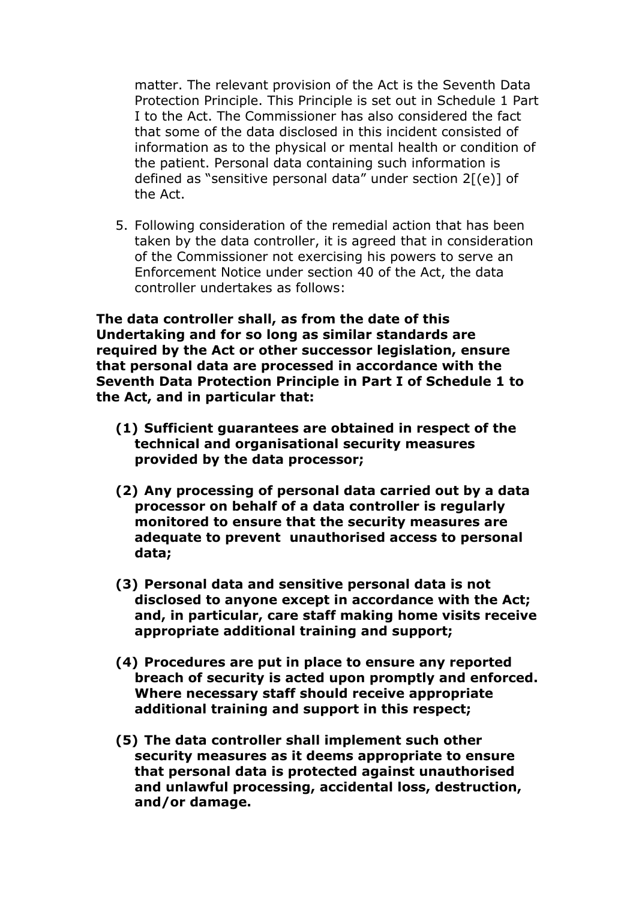matter. The relevant provision of the Act is the Seventh Data Protection Principle. This Principle is set out in Schedule 1 Part I to the Act. The Commissioner has also considered the fact that some of the data disclosed in this incident consisted of information as to the physical or mental health or condition of the patient. Personal data containing such information is defined as "sensitive personal data" under section  $2[(e)]$  of the Act.

5. Following consideration of the remedial action that has been taken by the data controller, it is agreed that in consideration of the Commissioner not exercising his powers to serve an Enforcement Notice under section 40 of the Act, the data controller undertakes as follows:

**The data controller shall, as from the date of this Undertaking and for so long as similar standards are required by the Act or other successor legislation, ensure that personal data are processed in accordance with the Seventh Data Protection Principle in Part I of Schedule 1 to the Act, and in particular that:** 

- **(1) Sufficient guarantees are obtained in respect of the technical and organisational security measures provided by the data processor;**
- **(2) Any processing of personal data carried out by a data processor on behalf of a data controller is regularly monitored to ensure that the security measures are adequate to prevent unauthorised access to personal data;**
- **(3) Personal data and sensitive personal data is not disclosed to anyone except in accordance with the Act; and, in particular, care staff making home visits receive appropriate additional training and support;**
- **(4) Procedures are put in place to ensure any reported breach of security is acted upon promptly and enforced. Where necessary staff should receive appropriate additional training and support in this respect;**
- **(5) The data controller shall implement such other security measures as it deems appropriate to ensure that personal data is protected against unauthorised and unlawful processing, accidental loss, destruction, and/or damage.**